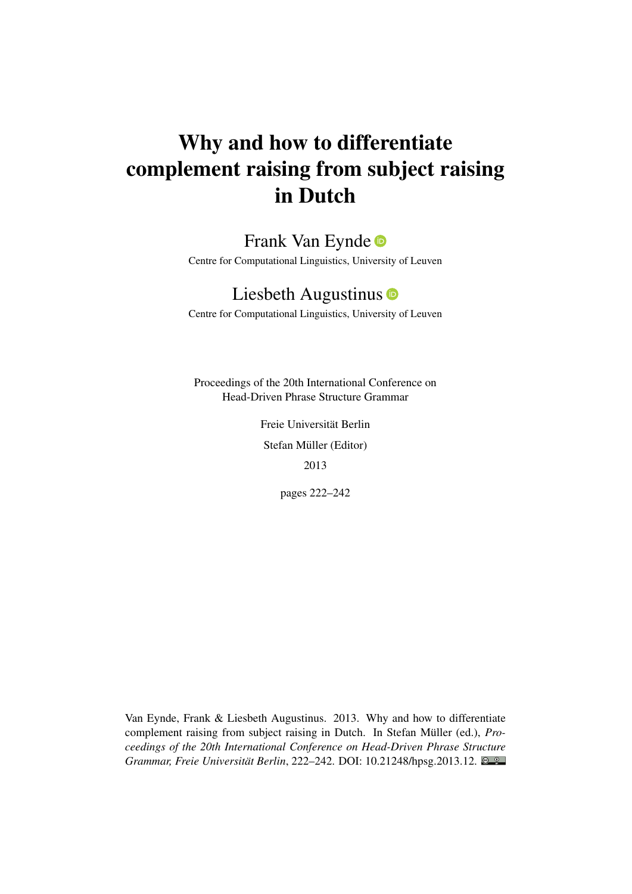# Why and how to differentiate complement raising from subject raising in Dutch

# Frank Van Eynde

Centre for Computational Linguistics, University of Leuven

# Liesbeth Augustinus **D**

Centre for Computational Linguistics, University of Leuven

Proceedings of the 20th International Conference on Head-Driven Phrase Structure Grammar

> Freie Universität Berlin Stefan Müller (Editor) 2013

> > pages 222–242

Van Eynde, Frank & Liesbeth Augustinus. 2013. Why and how to differentiate complement raising from subject raising in Dutch. In Stefan Müller (ed.), *Proceedings of the 20th International Conference on Head-Driven Phrase Structure Grammar, Freie Universität Berlin*, 222–242. DOI: [10.21248/hpsg.2013.12.](http://doi.org/10.21248/hpsg.2013.12)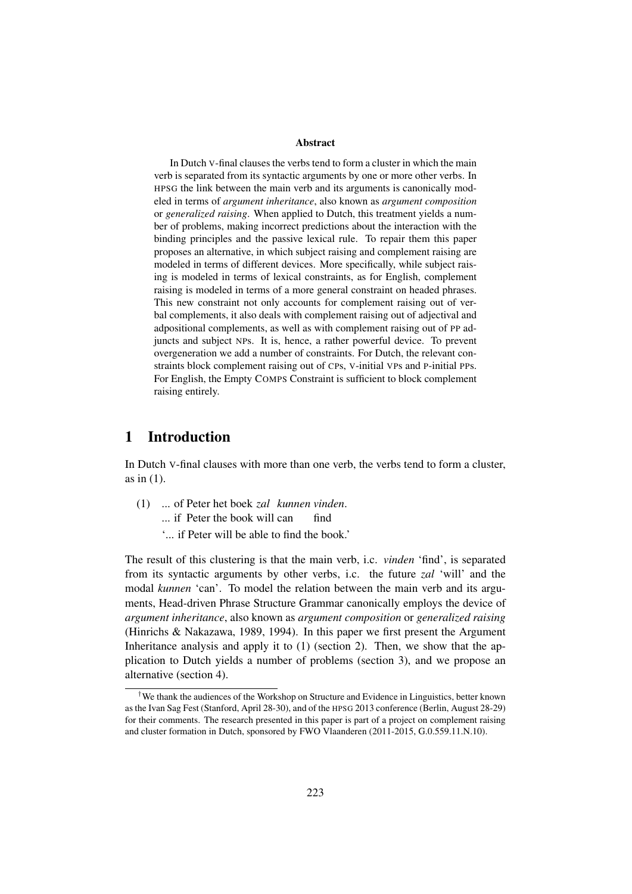#### Abstract

In Dutch V-final clauses the verbs tend to form a cluster in which the main verb is separated from its syntactic arguments by one or more other verbs. In HPSG the link between the main verb and its arguments is canonically modeled in terms of *argument inheritance*, also known as *argument composition* or *generalized raising*. When applied to Dutch, this treatment yields a number of problems, making incorrect predictions about the interaction with the binding principles and the passive lexical rule. To repair them this paper proposes an alternative, in which subject raising and complement raising are modeled in terms of different devices. More specifically, while subject raising is modeled in terms of lexical constraints, as for English, complement raising is modeled in terms of a more general constraint on headed phrases. This new constraint not only accounts for complement raising out of verbal complements, it also deals with complement raising out of adjectival and adpositional complements, as well as with complement raising out of PP adjuncts and subject NPs. It is, hence, a rather powerful device. To prevent overgeneration we add a number of constraints. For Dutch, the relevant constraints block complement raising out of CPs, V-initial VPs and P-initial PPs. For English, the Empty COMPS Constraint is sufficient to block complement raising entirely.

## 1 Introduction

In Dutch V-final clauses with more than one verb, the verbs tend to form a cluster, as in (1).

- (1) ... of Peter het boek *zal kunnen vinden*. ... if Peter the book will can find
	- '... if Peter will be able to find the book.'

The result of this clustering is that the main verb, i.c. *vinden* 'find', is separated from its syntactic arguments by other verbs, i.c. the future *zal* 'will' and the modal *kunnen* 'can'. To model the relation between the main verb and its arguments, Head-driven Phrase Structure Grammar canonically employs the device of *argument inheritance*, also known as *argument composition* or *generalized raising* (Hinrichs & Nakazawa, 1989, 1994). In this paper we first present the Argument Inheritance analysis and apply it to  $(1)$  (section 2). Then, we show that the application to Dutch yields a number of problems (section 3), and we propose an alternative (section 4).

<sup>†</sup>We thank the audiences of the Workshop on Structure and Evidence in Linguistics, better known as the Ivan Sag Fest (Stanford, April 28-30), and of the HPSG 2013 conference (Berlin, August 28-29) for their comments. The research presented in this paper is part of a project on complement raising and cluster formation in Dutch, sponsored by FWO Vlaanderen (2011-2015, G.0.559.11.N.10).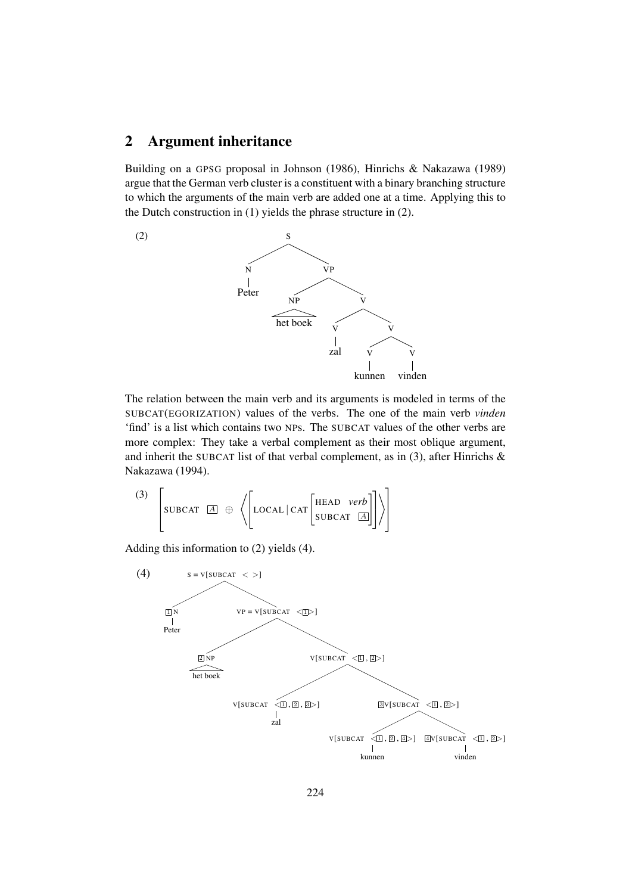## 2 Argument inheritance

Building on a GPSG proposal in Johnson (1986), Hinrichs & Nakazawa (1989) argue that the German verb cluster is a constituent with a binary branching structure to which the arguments of the main verb are added one at a time. Applying this to the Dutch construction in (1) yields the phrase structure in (2).



The relation between the main verb and its arguments is modeled in terms of the SUBCAT(EGORIZATION) values of the verbs. The one of the main verb *vinden* 'find' is a list which contains two NPs. The SUBCAT values of the other verbs are more complex: They take a verbal complement as their most oblique argument, and inherit the SUBCAT list of that verbal complement, as in (3), after Hinrichs & Nakazawa (1994).

$$
\begin{array}{c}\n\text{(3)} \\
\begin{bmatrix}\n\text{SUBCAT} & \boxed{A} \\
\end{bmatrix} & \bigoplus\n\left\{\n\begin{bmatrix}\n\text{LOCAL} \mid \text{CAT} \begin{bmatrix}\n\text{HEAD} & \text{verb} \\
\text{SUBCAT} & \boxed{A}\n\end{bmatrix}\n\end{bmatrix}\n\right\}\n\end{array}
$$

Adding this information to (2) yields (4).

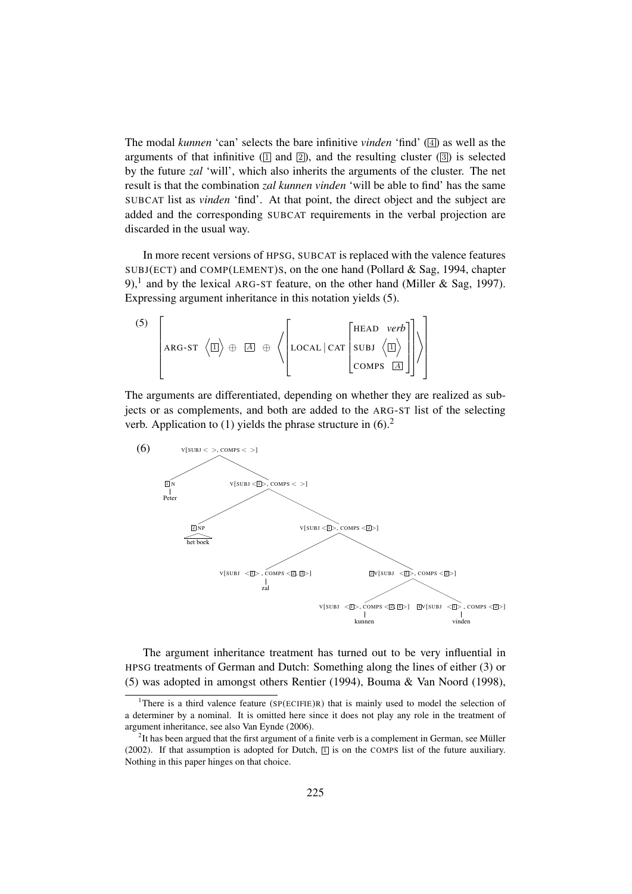The modal *kunnen* 'can' selects the bare infinitive *vinden* 'find' ( 4 ) as well as the arguments of that infinitive  $(1)$  and  $(2)$ , and the resulting cluster  $(3)$  is selected by the future *zal* 'will', which also inherits the arguments of the cluster. The net result is that the combination *zal kunnen vinden* 'will be able to find' has the same SUBCAT list as *vinden* 'find'. At that point, the direct object and the subject are added and the corresponding SUBCAT requirements in the verbal projection are discarded in the usual way.

In more recent versions of HPSG, SUBCAT is replaced with the valence features SUBJ(ECT) and COMP(LEMENT)S, on the one hand (Pollard & Sag, 1994, chapter 9),<sup>1</sup> and by the lexical ARG-ST feature, on the other hand (Miller & Sag, 1997). Expressing argument inheritance in this notation yields (5).

$$
\begin{pmatrix}\n5\n\end{pmatrix}\n\begin{bmatrix}\n\text{ARG-ST} \langle \boxed{1}\rangle \oplus \boxed{A} \oplus \left\langle \begin{bmatrix}\n\text{LOCAL} \mid \text{CAT} \begin{bmatrix}\n\text{HEAD} & \text{verb} \\
\text{SUBJ} \langle \boxed{1}\rangle \\
\text{COMPS} & \boxed{A}\n\end{bmatrix}\n\end{pmatrix}\n\end{pmatrix}
$$

The arguments are differentiated, depending on whether they are realized as subjects or as complements, and both are added to the ARG-ST list of the selecting verb. Application to  $(1)$  yields the phrase structure in  $(6)$ <sup>2</sup>



The argument inheritance treatment has turned out to be very influential in HPSG treatments of German and Dutch: Something along the lines of either (3) or (5) was adopted in amongst others Rentier (1994), Bouma & Van Noord (1998),

<sup>&</sup>lt;sup>1</sup>There is a third valence feature (SP(ECIFIE)R) that is mainly used to model the selection of a determiner by a nominal. It is omitted here since it does not play any role in the treatment of argument inheritance, see also Van Eynde (2006).

 $2$ It has been argued that the first argument of a finite verb is a complement in German, see Müller (2002). If that assumption is adopted for Dutch,  $\Box$  is on the COMPS list of the future auxiliary. Nothing in this paper hinges on that choice.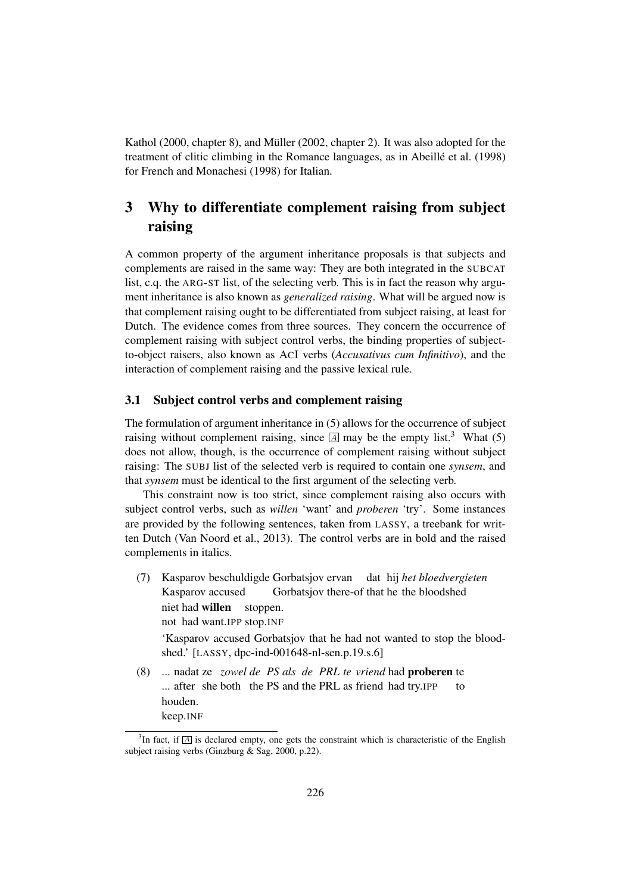Kathol  $(2000,$  chapter 8), and Müller  $(2002,$  chapter 2). It was also adopted for the treatment of clitic climbing in the Romance languages, as in Abeillé et al. (1998) for French and Monachesi (1998) for Italian.

# 3 Why to differentiate complement raising from subject raising

A common property of the argument inheritance proposals is that subjects and complements are raised in the same way: They are both integrated in the SUBCAT list, c.q. the ARG-ST list, of the selecting verb. This is in fact the reason why argument inheritance is also known as *generalized raising*. What will be argued now is that complement raising ought to be differentiated from subject raising, at least for Dutch. The evidence comes from three sources. They concern the occurrence of complement raising with subject control verbs, the binding properties of subjectto-object raisers, also known as ACI verbs (*Accusativus cum Infinitivo*), and the interaction of complement raising and the passive lexical rule.

#### 3.1 Subject control verbs and complement raising

The formulation of argument inheritance in (5) allows for the occurrence of subject raising without complement raising, since  $\overline{A}$  may be the empty list.<sup>3</sup> What (5) does not allow, though, is the occurrence of complement raising without subject raising: The SUBJ list of the selected verb is required to contain one *synsem*, and that *synsem* must be identical to the first argument of the selecting verb.

This constraint now is too strict, since complement raising also occurs with subject control verbs, such as *willen* 'want' and *proberen* 'try'. Some instances are provided by the following sentences, taken from LASSY, a treebank for written Dutch (Van Noord et al., 2013). The control verbs are in bold and the raised complements in italics.

- (7) Kasparov beschuldigde Gorbatsjov ervan Kasparov accused Gorbatsjov there-of that he the bloodshed dat hij *het bloedvergieten* niet had willen not had want.IPP stop.INF stoppen. 'Kasparov accused Gorbatsjov that he had not wanted to stop the bloodshed.' [LASSY, dpc-ind-001648-nl-sen.p.19.s.6]
- (8) ... nadat ze *zowel de PS als de PRL te vriend* had proberen te ... after she both the PS and the PRL as friend had try.IPP to houden. keep.INF

 ${}^{3}$ In fact, if  $\overline{A}$  is declared empty, one gets the constraint which is characteristic of the English subject raising verbs (Ginzburg & Sag, 2000, p.22).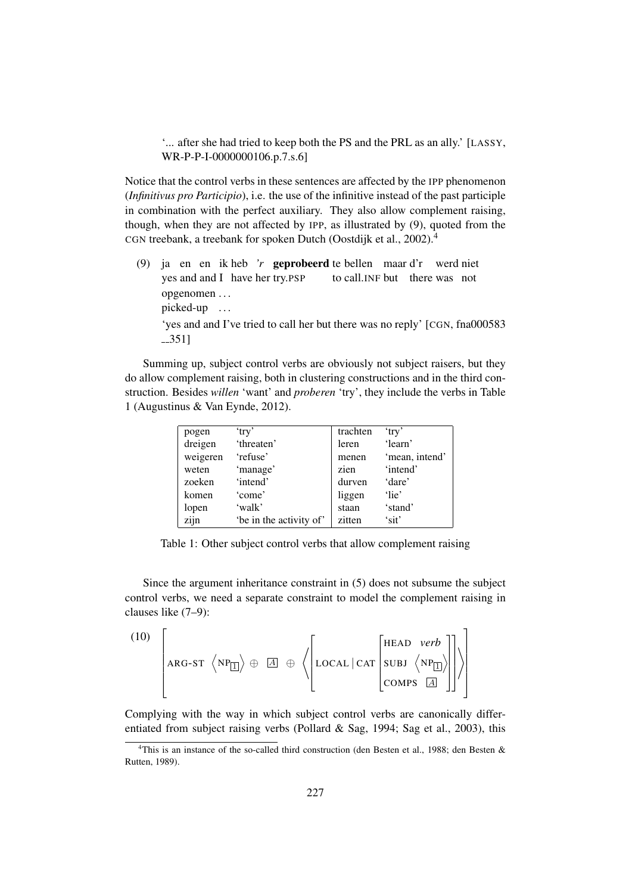'... after she had tried to keep both the PS and the PRL as an ally.' [LASSY, WR-P-P-I-0000000106.p.7.s.6]

Notice that the control verbs in these sentences are affected by the IPP phenomenon (*Infinitivus pro Participio*), i.e. the use of the infinitive instead of the past participle in combination with the perfect auxiliary. They also allow complement raising, though, when they are not affected by IPP, as illustrated by (9), quoted from the CGN treebank, a treebank for spoken Dutch (Oostdijk et al., 2002).<sup>4</sup>

(9) ja en en ik heb 'r **geprobeerd** te bellen maar d'r werd niet yes and and I have her try.PSP to call.INF but there was not opgenomen . . . picked-up ...

'yes and and I've tried to call her but there was no reply' [CGN, fna000583 351]

Summing up, subject control verbs are obviously not subject raisers, but they do allow complement raising, both in clustering constructions and in the third construction. Besides *willen* 'want' and *proberen* 'try', they include the verbs in Table 1 (Augustinus & Van Eynde, 2012).

| pogen    | 'try'                   | trachten | 'try'          |
|----------|-------------------------|----------|----------------|
| dreigen  | 'threaten'              | leren    | 'learn'        |
| weigeren | 'refuse'                | menen    | 'mean, intend' |
| weten    | 'manage'                | zien     | 'intend'       |
| zoeken   | 'intend'                | durven   | 'dare'         |
| komen    | 'come'                  | liggen   | 'lie'          |
| lopen    | 'walk'                  | staan    | 'stand'        |
| zijn     | 'be in the activity of' | zitten   | 'sit'          |

Table 1: Other subject control verbs that allow complement raising

Since the argument inheritance constraint in (5) does not subsume the subject control verbs, we need a separate constraint to model the complement raising in clauses like (7–9):

$$
(10)\ \left[\begin{matrix} \\ \text{ARG-ST}\ \langle NP_{\boxed{1}} \rangle \oplus \boxed{A} \ \oplus \ \langle \begin{bmatrix} \text{LOCAL} \ \text{CAT} \end{bmatrix} \begin{bmatrix} \text{HEAD} \ \text{verb}\ \\ \text{NPI} \end{bmatrix} \rangle \right] \rangle \right]
$$

Complying with the way in which subject control verbs are canonically differentiated from subject raising verbs (Pollard & Sag, 1994; Sag et al., 2003), this

<sup>&</sup>lt;sup>4</sup>This is an instance of the so-called third construction (den Besten et al., 1988; den Besten & Rutten, 1989).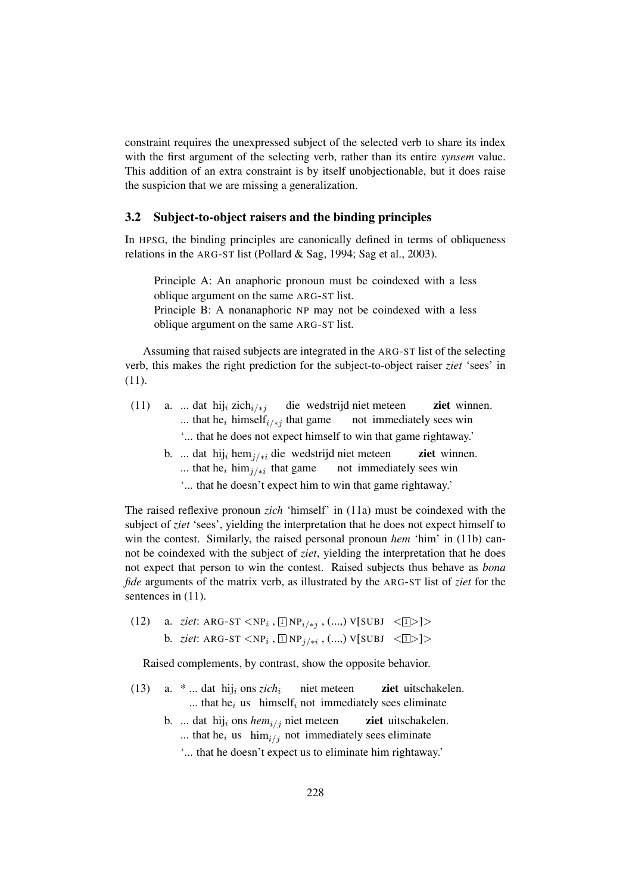constraint requires the unexpressed subject of the selected verb to share its index with the first argument of the selecting verb, rather than its entire *synsem* value. This addition of an extra constraint is by itself unobjectionable, but it does raise the suspicion that we are missing a generalization.

#### 3.2 Subject-to-object raisers and the binding principles

In HPSG, the binding principles are canonically defined in terms of obliqueness relations in the ARG-ST list (Pollard & Sag, 1994; Sag et al., 2003).

Principle A: An anaphoric pronoun must be coindexed with a less oblique argument on the same ARG-ST list. Principle B: A nonanaphoric NP may not be coindexed with a less oblique argument on the same ARG-ST list.

Assuming that raised subjects are integrated in the ARG-ST list of the selecting verb, this makes the right prediction for the subject-to-object raiser *ziet* 'sees' in (11).

- (11) a. ... dat hij<sub>i</sub> zich<sub>i/\*j</sub> ... that he<sub>i</sub> himself<sub>i/\*j</sub> that game die wedstrijd niet meteen not immediately sees win ziet winnen. '... that he does not expect himself to win that game rightaway.'
	- b. ... dat hij<sub>i</sub> hem<sub>j/\*i</sub> die wedstrijd niet meteen ... that he<sub>i</sub> him<sub>j/\*i</sub> that game not immediately sees win ziet winnen.
		- '... that he doesn't expect him to win that game rightaway.'

The raised reflexive pronoun *zich* 'himself' in (11a) must be coindexed with the subject of *ziet* 'sees', yielding the interpretation that he does not expect himself to win the contest. Similarly, the raised personal pronoun *hem* 'him' in (11b) cannot be coindexed with the subject of *ziet*, yielding the interpretation that he does not expect that person to win the contest. Raised subjects thus behave as *bona fide* arguments of the matrix verb, as illustrated by the ARG-ST list of *ziet* for the sentences in  $(11)$ .

(12) a. *ziet*: ARG-ST  $\langle NP_i, \Box NP_{i \neq j}, ..., \lor [SUBJ \prec \Box >] \rangle$ b. *ziet*: ARG-ST  $\langle NP_i, \Box NP_{j \neq i}, \ldots \rangle$   $V[\text{SUBJ} \ \langle \Box \rangle]$ 

Raised complements, by contrast, show the opposite behavior.

- (13) a.  $*$  ... dat hij<sub>i</sub> ons *zich*<sub>i</sub> niet meteen ... that he<sub>i</sub> us himself<sub>i</sub> not immediately sees eliminate ziet uitschakelen.
	- b. ... dat hij<sub>i</sub> ons *hem*<sub>i/j</sub> niet meteen ... that he<sub>i</sub> us  $\lim_{i \to j}$  not immediately sees eliminate ziet uitschakelen.
		- '... that he doesn't expect us to eliminate him rightaway.'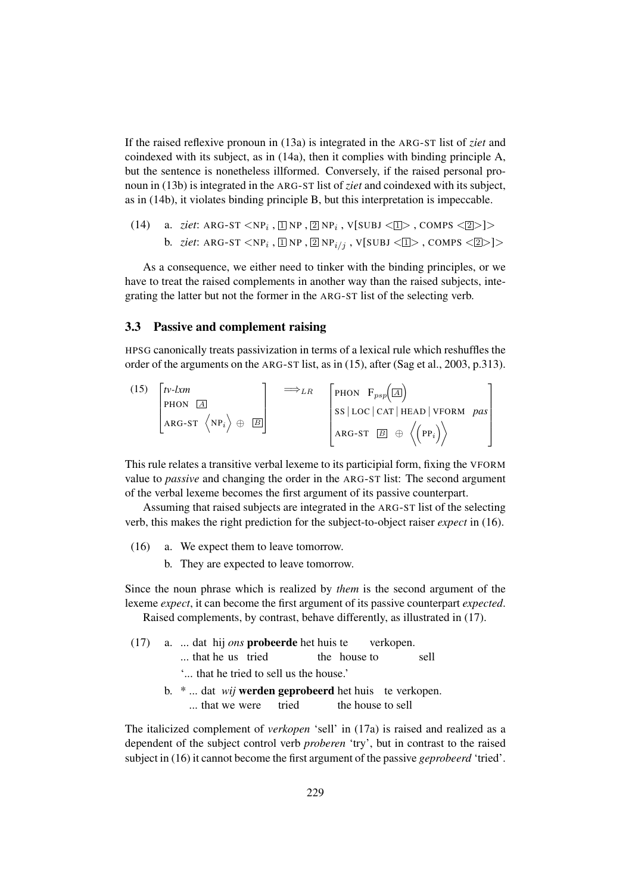If the raised reflexive pronoun in (13a) is integrated in the ARG-ST list of *ziet* and coindexed with its subject, as in (14a), then it complies with binding principle A, but the sentence is nonetheless illformed. Conversely, if the raised personal pronoun in (13b) is integrated in the ARG-ST list of *ziet* and coindexed with its subject, as in (14b), it violates binding principle B, but this interpretation is impeccable.

(14) a. *ziet*: ARG-ST  $\langle NP_i, \Box NP, \Box NP_i, V[SUBJ \langle \Box \rangle, COMPS \langle \Box \rangle]$ b. *ziet*: ARG-ST  $<$ NP $_i$  ,  $\boxed{ \boxed{ \ } }$ NP ,  $\boxed{ \boxed{ \ } }$ NP $_{i/j}$  , V[SUBJ  $<$   $\boxed{ \boxed{ \ } }$  , COMPS  $<$   $\boxed{ \boxed{ \ } }$   $>$ 

As a consequence, we either need to tinker with the binding principles, or we have to treat the raised complements in another way than the raised subjects, integrating the latter but not the former in the ARG-ST list of the selecting verb.

#### 3.3 Passive and complement raising

HPSG canonically treats passivization in terms of a lexical rule which reshuffles the order of the arguments on the ARG-ST list, as in (15), after (Sag et al., 2003, p.313).

(15) 
$$
\begin{bmatrix} tv-lxm \\ \text{PHON} & \boxed{A} \\ \text{ARG-ST} & \langle NP_i \rangle \oplus & \boxed{B} \end{bmatrix} \implies_{LR} \quad \begin{bmatrix} \text{PHON} & F_{psp}(\boxed{A}) \\ \text{SS} | \text{LOC} | \text{CAT} | \text{ HEAD} | \text{VFORM} \text{ pas} \\ \text{ARG-ST} | \boxed{B} \oplus \langle \text{PP}_i \rangle \end{bmatrix}
$$

This rule relates a transitive verbal lexeme to its participial form, fixing the VFORM value to *passive* and changing the order in the ARG-ST list: The second argument of the verbal lexeme becomes the first argument of its passive counterpart.

Assuming that raised subjects are integrated in the ARG-ST list of the selecting verb, this makes the right prediction for the subject-to-object raiser *expect* in (16).

- (16) a. We expect them to leave tomorrow.
	- b. They are expected to leave tomorrow.

Since the noun phrase which is realized by *them* is the second argument of the lexeme *expect*, it can become the first argument of its passive counterpart *expected*. Raised complements, by contrast, behave differently, as illustrated in (17).

- (17) a. ... dat hij *ons* probeerde het huis te ... that he us tried the house verkopen. sell '... that he tried to sell us the house.'
	- b. \* ... dat *wij* werden geprobeerd het huis te verkopen. ... that we were tried the house to sell

The italicized complement of *verkopen* 'sell' in (17a) is raised and realized as a dependent of the subject control verb *proberen* 'try', but in contrast to the raised subject in (16) it cannot become the first argument of the passive *geprobeerd* 'tried'.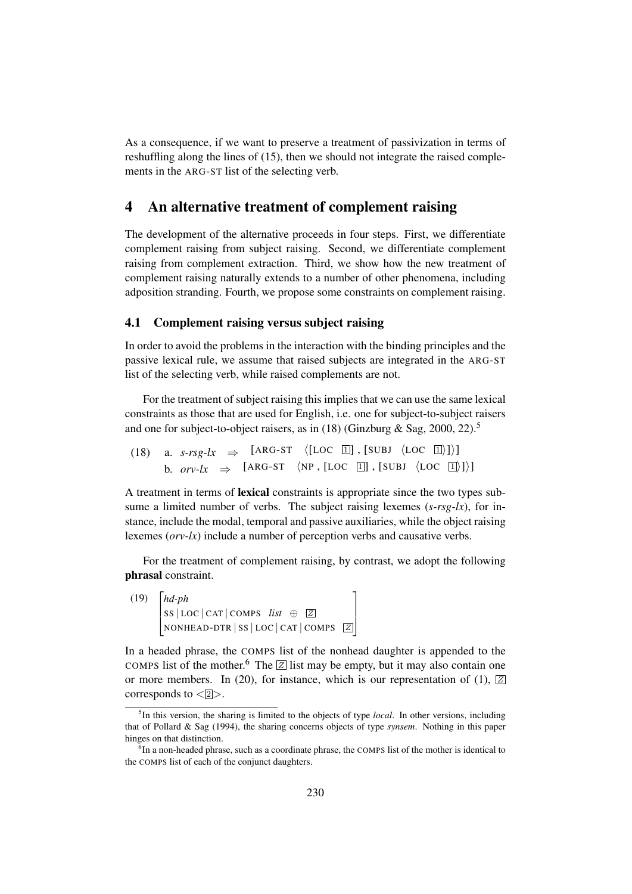As a consequence, if we want to preserve a treatment of passivization in terms of reshuffling along the lines of (15), then we should not integrate the raised complements in the ARG-ST list of the selecting verb.

### 4 An alternative treatment of complement raising

The development of the alternative proceeds in four steps. First, we differentiate complement raising from subject raising. Second, we differentiate complement raising from complement extraction. Third, we show how the new treatment of complement raising naturally extends to a number of other phenomena, including adposition stranding. Fourth, we propose some constraints on complement raising.

#### 4.1 Complement raising versus subject raising

In order to avoid the problems in the interaction with the binding principles and the passive lexical rule, we assume that raised subjects are integrated in the ARG-ST list of the selecting verb, while raised complements are not.

For the treatment of subject raising this implies that we can use the same lexical constraints as those that are used for English, i.e. one for subject-to-subject raisers and one for subject-to-object raisers, as in (18) (Ginzburg & Sag, 2000, 22).<sup>5</sup>

(18) a. *s-rsg-lx*  $\Rightarrow$  [ARG-ST  $\langle$ [LOC 1]], [SUBJ  $\langle$ LOC 1])] b.  $orv$ -lx  $\Rightarrow$  [ARG-ST  $\langle NP, [LOC \; \Box], [SUBJ \; \langle LOC \; \Box] \rangle]$ ]

A treatment in terms of lexical constraints is appropriate since the two types subsume a limited number of verbs. The subject raising lexemes (*s-rsg-lx*), for instance, include the modal, temporal and passive auxiliaries, while the object raising lexemes (*orv-lx*) include a number of perception verbs and causative verbs.

For the treatment of complement raising, by contrast, we adopt the following phrasal constraint.

 $(19)$   $[hd$ -ph  $\Big\}$ *hd-ph*  $SS | LOC | CAT | COMPS \text{ list } \oplus \text{ } \boxed{Z}$ NONHEAD-DTR | SS | LOC | CAT | COMPS <sup>Z</sup> 1  $\mathbf{I}$ 

In a headed phrase, the COMPS list of the nonhead daughter is appended to the COMPS list of the mother.<sup>6</sup> The  $\boxed{Z}$  list may be empty, but it may also contain one or more members. In (20), for instance, which is our representation of (1),  $\boxed{Z}$ corresponds to  $\langle 2 \rangle$ .

<sup>5</sup> In this version, the sharing is limited to the objects of type *local*. In other versions, including that of Pollard & Sag (1994), the sharing concerns objects of type *synsem*. Nothing in this paper hinges on that distinction.

 ${}^{6}$ In a non-headed phrase, such as a coordinate phrase, the COMPS list of the mother is identical to the COMPS list of each of the conjunct daughters.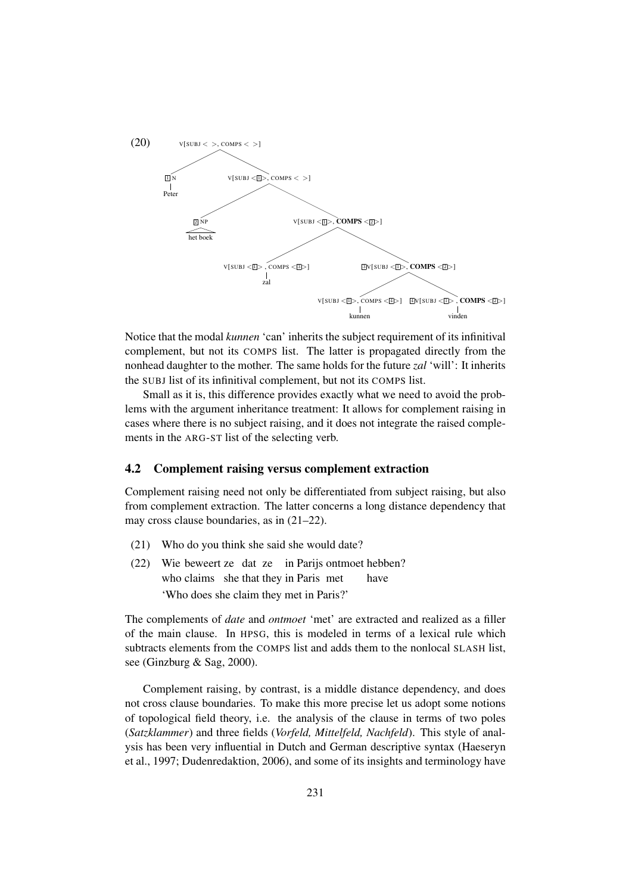

Notice that the modal *kunnen* 'can' inherits the subject requirement of its infinitival complement, but not its COMPS list. The latter is propagated directly from the nonhead daughter to the mother. The same holds for the future *zal* 'will': It inherits the SUBJ list of its infinitival complement, but not its COMPS list.

Small as it is, this difference provides exactly what we need to avoid the problems with the argument inheritance treatment: It allows for complement raising in cases where there is no subject raising, and it does not integrate the raised complements in the ARG-ST list of the selecting verb.

#### 4.2 Complement raising versus complement extraction

Complement raising need not only be differentiated from subject raising, but also from complement extraction. The latter concerns a long distance dependency that may cross clause boundaries, as in (21–22).

- (21) Who do you think she said she would date?
- (22) Wie beweert ze dat ze in Parijs ontmoet hebben? who claims she that they in Paris met have 'Who does she claim they met in Paris?'

The complements of *date* and *ontmoet* 'met' are extracted and realized as a filler of the main clause. In HPSG, this is modeled in terms of a lexical rule which subtracts elements from the COMPS list and adds them to the nonlocal SLASH list, see (Ginzburg & Sag, 2000).

Complement raising, by contrast, is a middle distance dependency, and does not cross clause boundaries. To make this more precise let us adopt some notions of topological field theory, i.e. the analysis of the clause in terms of two poles (*Satzklammer*) and three fields (*Vorfeld, Mittelfeld, Nachfeld*). This style of analysis has been very influential in Dutch and German descriptive syntax (Haeseryn et al., 1997; Dudenredaktion, 2006), and some of its insights and terminology have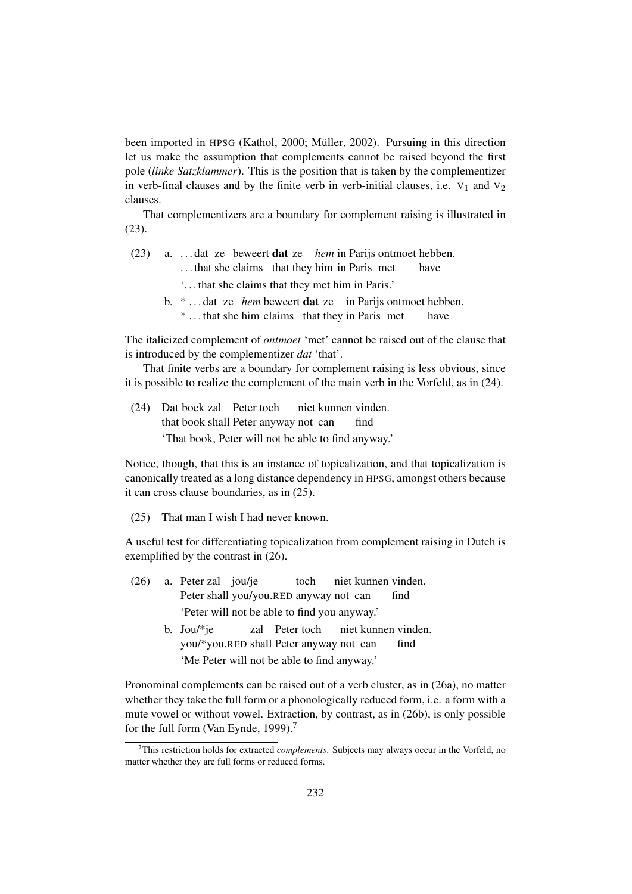been imported in HPSG (Kathol, 2000; Müller, 2002). Pursuing in this direction let us make the assumption that complements cannot be raised beyond the first pole (*linke Satzklammer*). This is the position that is taken by the complementizer in verb-final clauses and by the finite verb in verb-initial clauses, i.e.  $V_1$  and  $V_2$ clauses.

That complementizers are a boundary for complement raising is illustrated in (23).

- (23) a. . . . dat ze beweert dat ze *hem* in Parijs ontmoet hebben. ... that she claims that they him in Paris met have '. . . that she claims that they met him in Paris.'
	- b. \* ... dat ze *hem* beweert **dat** ze in Parijs ontmoet hebben. \* . . . that she him claims that they in Paris met have

The italicized complement of *ontmoet* 'met' cannot be raised out of the clause that is introduced by the complementizer *dat* 'that'.

That finite verbs are a boundary for complement raising is less obvious, since it is possible to realize the complement of the main verb in the Vorfeld, as in (24).

(24) Dat boek zal Peter toch that book shall Peter anyway not can niet kunnen vinden. find 'That book, Peter will not be able to find anyway.'

Notice, though, that this is an instance of topicalization, and that topicalization is canonically treated as a long distance dependency in HPSG, amongst others because it can cross clause boundaries, as in (25).

(25) That man I wish I had never known.

A useful test for differentiating topicalization from complement raising in Dutch is exemplified by the contrast in (26).

| (26) | a. Peter zal jou/je                          |  |                                                                                                                                                                                                                                | toch niet kunnen vinden. |      |  |
|------|----------------------------------------------|--|--------------------------------------------------------------------------------------------------------------------------------------------------------------------------------------------------------------------------------|--------------------------|------|--|
|      |                                              |  | Peter shall you/you.RED anyway not can                                                                                                                                                                                         |                          | find |  |
|      | 'Peter will not be able to find you anyway.' |  |                                                                                                                                                                                                                                |                          |      |  |
|      | $1. \quad I_{\infty}, \; l \star l \star l$  |  | and Detected in the best decomposition of the fact that the fact that the fact that the fact that the fact that the fact the fact that the fact that the fact that the fact that the fact that the fact that the fact that the |                          |      |  |

b. Jou/\*je you/\*you.RED shall Peter anyway not can zal Peter toch niet kunnen vinden. find 'Me Peter will not be able to find anyway.'

Pronominal complements can be raised out of a verb cluster, as in (26a), no matter whether they take the full form or a phonologically reduced form, i.e. a form with a mute vowel or without vowel. Extraction, by contrast, as in (26b), is only possible for the full form (Van Eynde, 1999).<sup>7</sup>

<sup>7</sup>This restriction holds for extracted *complements*. Subjects may always occur in the Vorfeld, no matter whether they are full forms or reduced forms.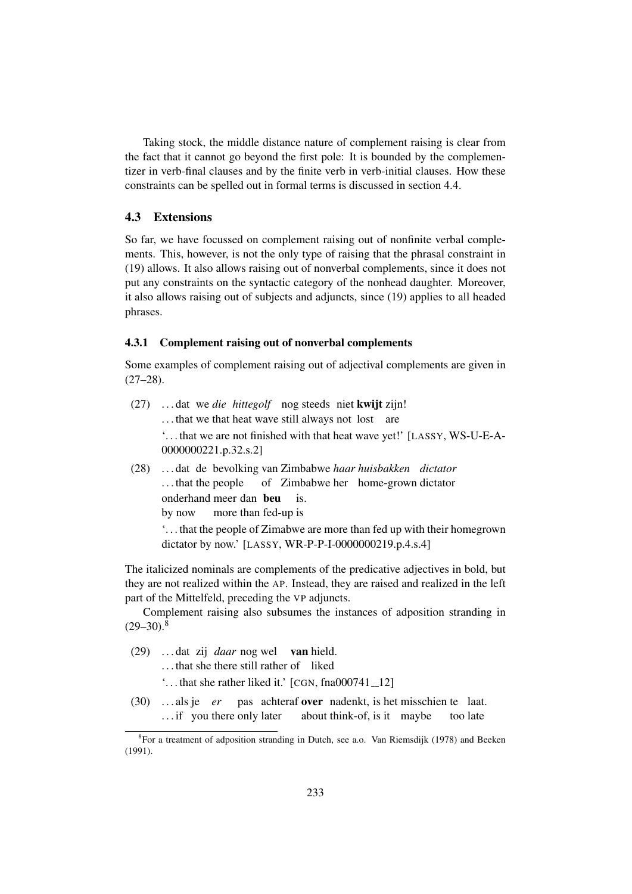Taking stock, the middle distance nature of complement raising is clear from the fact that it cannot go beyond the first pole: It is bounded by the complementizer in verb-final clauses and by the finite verb in verb-initial clauses. How these constraints can be spelled out in formal terms is discussed in section 4.4.

#### 4.3 Extensions

So far, we have focussed on complement raising out of nonfinite verbal complements. This, however, is not the only type of raising that the phrasal constraint in (19) allows. It also allows raising out of nonverbal complements, since it does not put any constraints on the syntactic category of the nonhead daughter. Moreover, it also allows raising out of subjects and adjuncts, since (19) applies to all headed phrases.

#### 4.3.1 Complement raising out of nonverbal complements

Some examples of complement raising out of adjectival complements are given in  $(27-28)$ .

- (27) . . . dat we *die hittegolf* nog steeds niet kwijt zijn! ... that we that heat wave still always not lost are '. . . that we are not finished with that heat wave yet!' [LASSY, WS-U-E-A-0000000221.p.32.s.2]
- (28) . . . dat de bevolking van Zimbabwe *haar huisbakken dictator* ... that the people of Zimbabwe her home-grown dictator onderhand meer dan beu by now more than fed-up is is.

'. . . that the people of Zimabwe are more than fed up with their homegrown dictator by now.' [LASSY, WR-P-P-I-0000000219.p.4.s.4]

The italicized nominals are complements of the predicative adjectives in bold, but they are not realized within the AP. Instead, they are raised and realized in the left part of the Mittelfeld, preceding the VP adjuncts.

Complement raising also subsumes the instances of adposition stranding in  $(29-30)^8$ 

(29) . . . dat zij *daar* nog wel van hield.

... that she there still rather of liked

 $\ldots$  that she rather liked it.'  $\lfloor$  CGN, fna000741\_12]

(30) . . . als je *er* pas achteraf over nadenkt, is het misschien te laat. ... if you there only later about think-of, is it maybe too late

<sup>&</sup>lt;sup>8</sup>For a treatment of adposition stranding in Dutch, see a.o. Van Riemsdijk (1978) and Beeken (1991).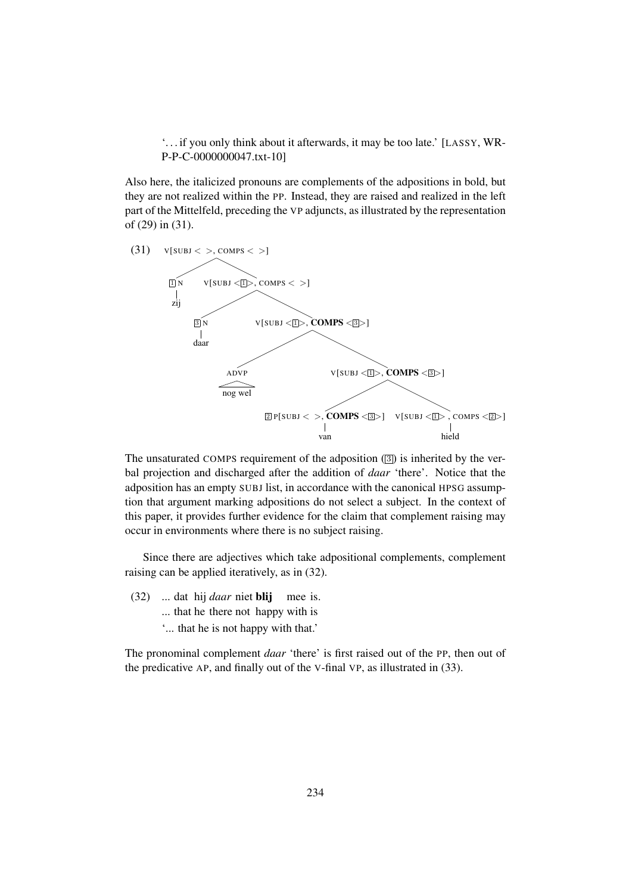'. . . if you only think about it afterwards, it may be too late.' [LASSY, WR-P-P-C-0000000047.txt-10]

Also here, the italicized pronouns are complements of the adpositions in bold, but they are not realized within the PP. Instead, they are raised and realized in the left part of the Mittelfeld, preceding the VP adjuncts, as illustrated by the representation of (29) in (31).



The unsaturated COMPS requirement of the adposition  $(\overline{3})$  is inherited by the verbal projection and discharged after the addition of *daar* 'there'. Notice that the adposition has an empty SUBJ list, in accordance with the canonical HPSG assumption that argument marking adpositions do not select a subject. In the context of this paper, it provides further evidence for the claim that complement raising may occur in environments where there is no subject raising.

Since there are adjectives which take adpositional complements, complement raising can be applied iteratively, as in (32).

(32) ... dat hij *daar* niet blij mee is. ... that he there not happy with is '... that he is not happy with that.'

The pronominal complement *daar* 'there' is first raised out of the PP, then out of the predicative AP, and finally out of the V-final VP, as illustrated in (33).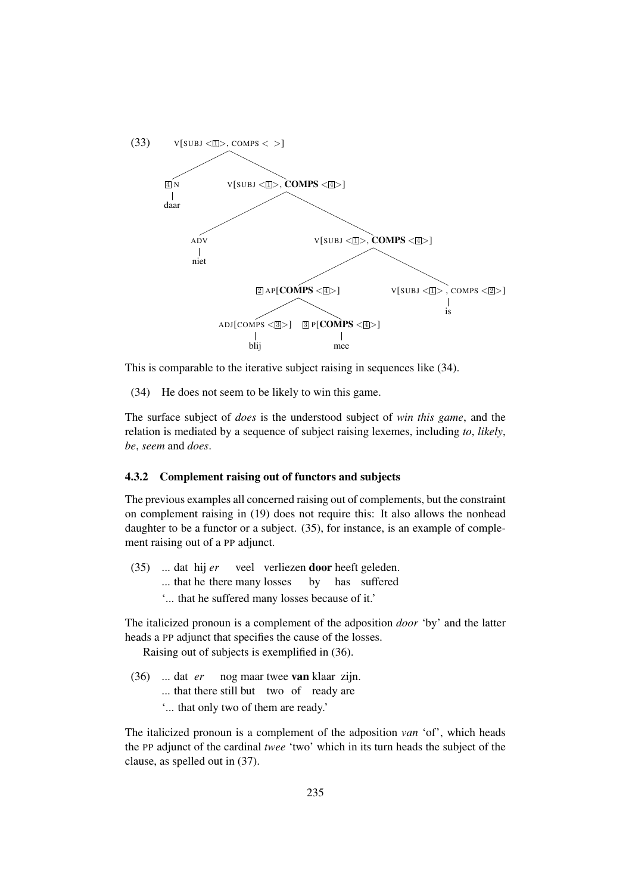

This is comparable to the iterative subject raising in sequences like (34).

(34) He does not seem to be likely to win this game.

The surface subject of *does* is the understood subject of *win this game*, and the relation is mediated by a sequence of subject raising lexemes, including *to*, *likely*, *be*, *seem* and *does*.

#### 4.3.2 Complement raising out of functors and subjects

The previous examples all concerned raising out of complements, but the constraint on complement raising in (19) does not require this: It also allows the nonhead daughter to be a functor or a subject. (35), for instance, is an example of complement raising out of a PP adjunct.

 $(35)$ ... that he there many losses dat hij *er* veel verliezen door heeft geleden. by has suffered '... that he suffered many losses because of it.'

The italicized pronoun is a complement of the adposition *door* 'by' and the latter heads a PP adjunct that specifies the cause of the losses.

Raising out of subjects is exemplified in (36).

- (36) ... dat *er* nog maar twee van klaar zijn. ... that there still but two of ready are
	- '... that only two of them are ready.'

The italicized pronoun is a complement of the adposition *van* 'of', which heads the PP adjunct of the cardinal *twee* 'two' which in its turn heads the subject of the clause, as spelled out in (37).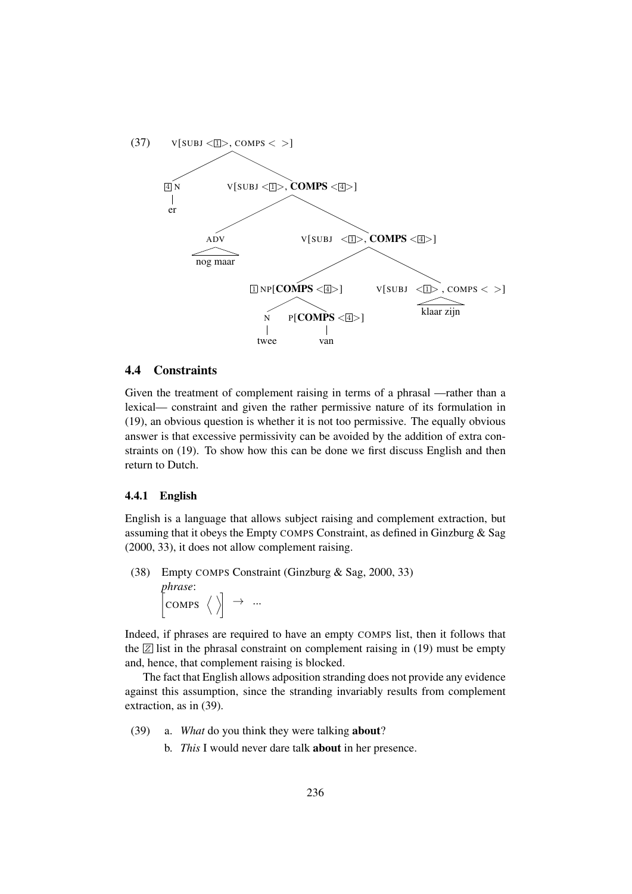

#### 4.4 Constraints

Given the treatment of complement raising in terms of a phrasal —rather than a lexical— constraint and given the rather permissive nature of its formulation in (19), an obvious question is whether it is not too permissive. The equally obvious answer is that excessive permissivity can be avoided by the addition of extra constraints on (19). To show how this can be done we first discuss English and then return to Dutch.

#### 4.4.1 English

English is a language that allows subject raising and complement extraction, but assuming that it obeys the Empty COMPS Constraint, as defined in Ginzburg & Sag (2000, 33), it does not allow complement raising.

(38) Empty COMPS Constraint (Ginzburg & Sag, 2000, 33) *phrase*:  $\left[\begin{smallmatrix} \text{COMPS} & \langle \ \rangle \end{smallmatrix} \right] \rightarrow ...$ 

Indeed, if phrases are required to have an empty COMPS list, then it follows that the  $\boxed{Z}$  list in the phrasal constraint on complement raising in (19) must be empty and, hence, that complement raising is blocked.

The fact that English allows adposition stranding does not provide any evidence against this assumption, since the stranding invariably results from complement extraction, as in (39).

- (39) a. *What* do you think they were talking about?
	- b. *This* I would never dare talk about in her presence.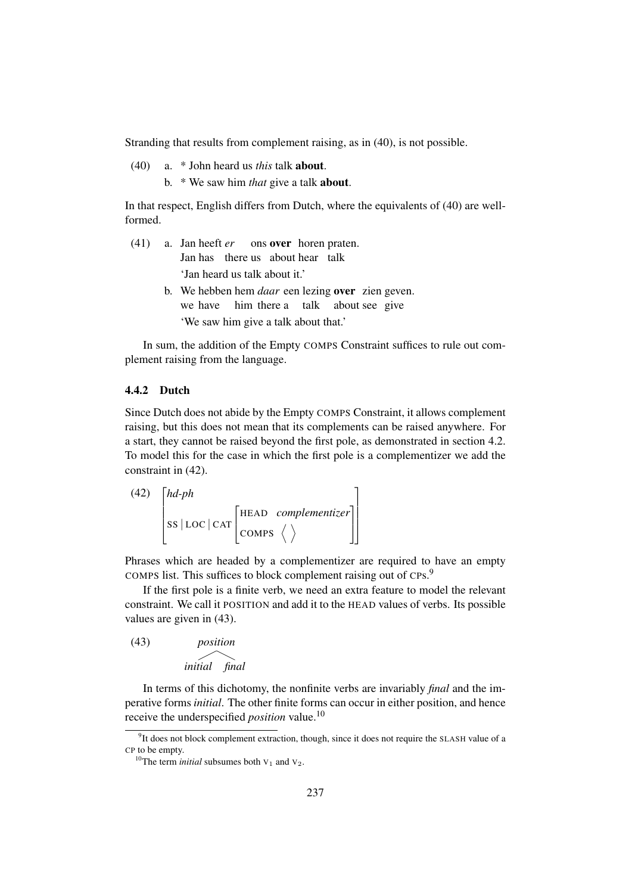Stranding that results from complement raising, as in (40), is not possible.

(40) a. \* John heard us *this* talk about. b. \* We saw him *that* give a talk about.

In that respect, English differs from Dutch, where the equivalents of (40) are wellformed.

- (41) a. Jan heeft *er* Jan has there us about hear talk ons over horen praten. 'Jan heard us talk about it.'
	- b. We hebben hem *daar* een lezing over zien geven. we have him there a talk about see give 'We saw him give a talk about that.'

In sum, the addition of the Empty COMPS Constraint suffices to rule out complement raising from the language.

#### 4.4.2 Dutch

Since Dutch does not abide by the Empty COMPS Constraint, it allows complement raising, but this does not mean that its complements can be raised anywhere. For a start, they cannot be raised beyond the first pole, as demonstrated in section 4.2. To model this for the case in which the first pole is a complementizer we add the constraint in (42).

(42) 
$$
\begin{bmatrix} hd\text{-}ph \\ \text{s} & \text{loc} \mid \text{CAT} \end{bmatrix}
$$
 (42) 
$$
\begin{bmatrix} HEAD & complementizer \\ COMPS \end{bmatrix}
$$

Phrases which are headed by a complementizer are required to have an empty COMPS list. This suffices to block complement raising out of CPs.<sup>9</sup>

If the first pole is a finite verb, we need an extra feature to model the relevant constraint. We call it POSITION and add it to the HEAD values of verbs. Its possible values are given in (43).

(43) *position initial final*

In terms of this dichotomy, the nonfinite verbs are invariably *final* and the imperative forms *initial*. The other finite forms can occur in either position, and hence receive the underspecified *position* value.<sup>10</sup>

<sup>&</sup>lt;sup>9</sup>It does not block complement extraction, though, since it does not require the SLASH value of a CP to be empty.

<sup>&</sup>lt;sup>10</sup>The term *initial* subsumes both  $V_1$  and  $V_2$ .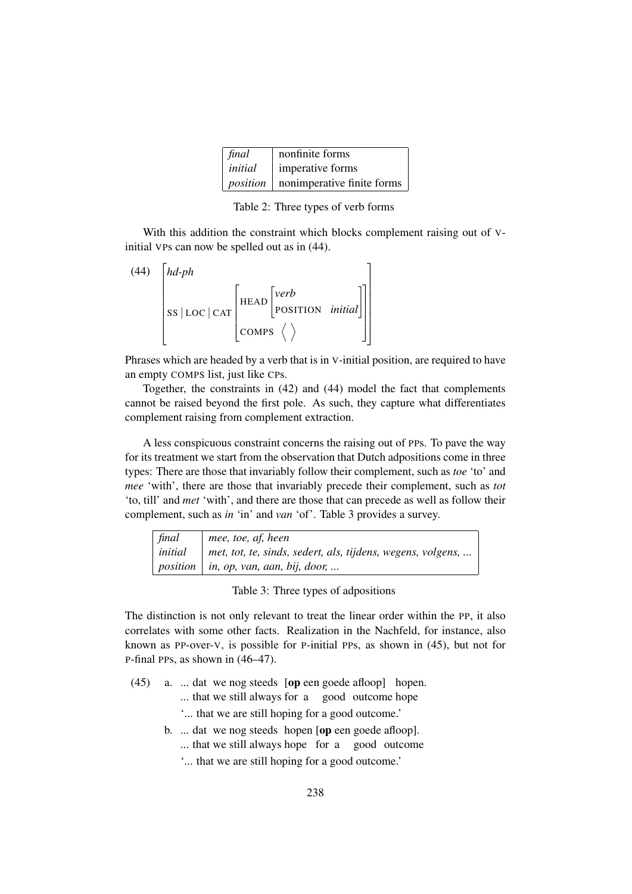| final   | nonfinite forms                              |
|---------|----------------------------------------------|
| initial | imperative forms                             |
|         | <i>position</i>   nonimperative finite forms |

Table 2: Three types of verb forms

With this addition the constraint which blocks complement raising out of Vinitial VPs can now be spelled out as in (44).

| (44) | $hd$ -ph   |                                    |  |  |
|------|------------|------------------------------------|--|--|
|      | SS LOC CAT |                                    |  |  |
|      |            | $ _{\text{COMPS}} \langle \rangle$ |  |  |

Phrases which are headed by a verb that is in V-initial position, are required to have an empty COMPS list, just like CPs.

Together, the constraints in (42) and (44) model the fact that complements cannot be raised beyond the first pole. As such, they capture what differentiates complement raising from complement extraction.

A less conspicuous constraint concerns the raising out of PPs. To pave the way for its treatment we start from the observation that Dutch adpositions come in three types: There are those that invariably follow their complement, such as *toe* 'to' and *mee* 'with', there are those that invariably precede their complement, such as *tot* 'to, till' and *met* 'with', and there are those that can precede as well as follow their complement, such as *in* 'in' and *van* 'of'. Table 3 provides a survey.

| final | $\vert$ mee, toe, af, heen                                              |
|-------|-------------------------------------------------------------------------|
|       | $initial$   met, tot, te, sinds, sedert, als, tijdens, wegens, volgens, |
|       | position $ $ in, op, van, aan, bij, door,                               |

Table 3: Three types of adpositions

The distinction is not only relevant to treat the linear order within the PP, it also correlates with some other facts. Realization in the Nachfeld, for instance, also known as PP-over-V, is possible for P-initial PPs, as shown in (45), but not for P-final PPs, as shown in (46–47).

- (45) a. ... dat we nog steeds [op een goede afloop] hopen.
	- ... that we still always for a good outcome hope
		- '... that we are still hoping for a good outcome.'
	- b. ... dat we nog steeds hopen [op een goede afloop].
		- ... that we still always hope for a good outcome
		- '... that we are still hoping for a good outcome.'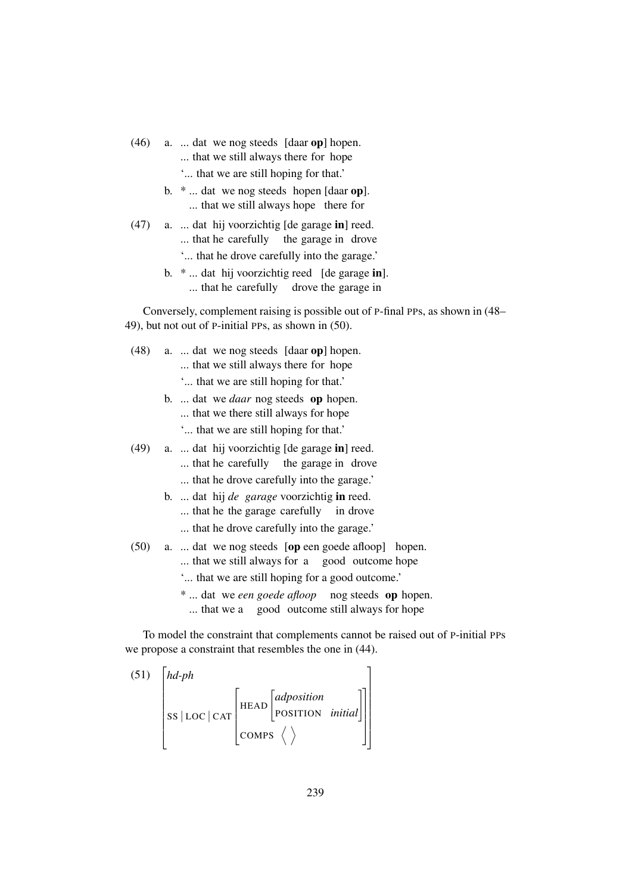- (46) a. ... dat we nog steeds [daar op] hopen.
	- ... that we still always there for hope
	- '... that we are still hoping for that.'
	- b.  $*$  ... dat we nog steeds hopen [daar op]. ... that we still always hope there for
- (47) a. ... dat hij voorzichtig [de garage in] reed. ... that he carefully the garage in drove '... that he drove carefully into the garage.'
	- b. \* ... dat hij voorzichtig reed [de garage in]. ... that he carefully drove the garage in

Conversely, complement raising is possible out of P-final PPs, as shown in (48– 49), but not out of P-initial PPs, as shown in (50).

- (48) a. ... dat we nog steeds [daar op] hopen. ... that we still always there for hope
	- '... that we are still hoping for that.'
	- b. ... dat we *daar* nog steeds op hopen.
		- ... that we there still always for hope
		- '... that we are still hoping for that.'
- (49) a. ... dat hij voorzichtig [de garage in] reed.
	- ... that he carefully the garage in drove
	- ... that he drove carefully into the garage.'
	- b. ... dat hij *de garage* voorzichtig in reed.
		- ... that he the garage carefully in drove
		- ... that he drove carefully into the garage.'
- (50) a. ... dat we nog steeds [op een goede afloop] hopen. ... that we still always for a good outcome hope '... that we are still hoping for a good outcome.' \* ... dat we *een goede afloop* nog steeds op hopen. ... that we a good outcome still always for hope

To model the constraint that complements cannot be raised out of P-initial PPs we propose a constraint that resembles the one in (44).

(51) 
$$
\begin{bmatrix} hd\text{-}ph \\ \text{s} & \text{loc} \text{ } | \text{ car} \end{bmatrix}
$$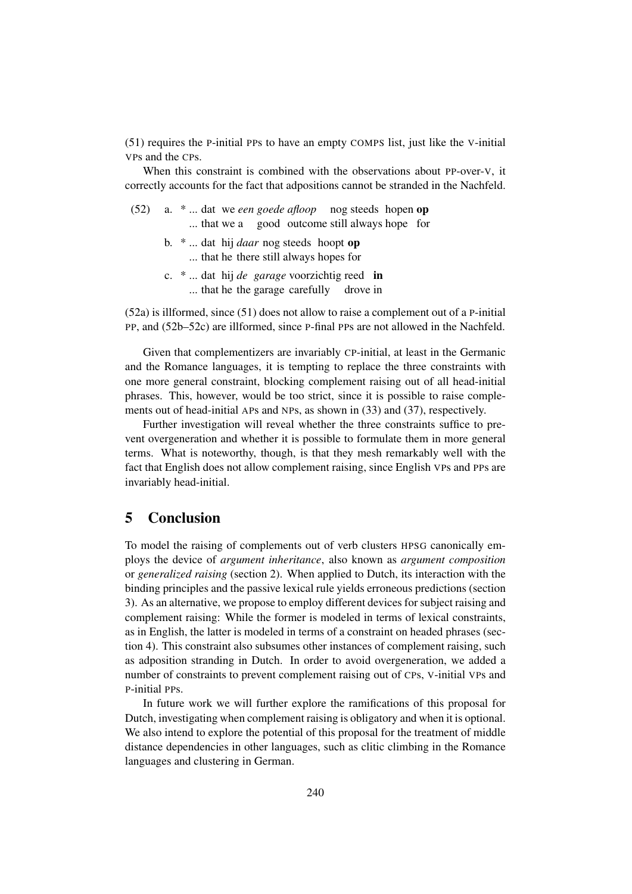(51) requires the P-initial PPs to have an empty COMPS list, just like the V-initial VPs and the CPs.

When this constraint is combined with the observations about PP-over-V, it correctly accounts for the fact that adpositions cannot be stranded in the Nachfeld.

|  | $(52)$ a. $*$ dat we <i>een goede afloop</i> nog steeds hopen op |  |  |
|--|------------------------------------------------------------------|--|--|
|  | that we a good outcome still always hope for                     |  |  |

- b. \* ... dat hij *daar* nog steeds hoopt op ... that he there still always hopes for
- c. \* ... dat hij *de garage* voorzichtig reed in ... that he the garage carefully drove in

(52a) is illformed, since (51) does not allow to raise a complement out of a P-initial PP, and (52b–52c) are illformed, since P-final PPs are not allowed in the Nachfeld.

Given that complementizers are invariably CP-initial, at least in the Germanic and the Romance languages, it is tempting to replace the three constraints with one more general constraint, blocking complement raising out of all head-initial phrases. This, however, would be too strict, since it is possible to raise complements out of head-initial APs and NPs, as shown in (33) and (37), respectively.

Further investigation will reveal whether the three constraints suffice to prevent overgeneration and whether it is possible to formulate them in more general terms. What is noteworthy, though, is that they mesh remarkably well with the fact that English does not allow complement raising, since English VPs and PPs are invariably head-initial.

### 5 Conclusion

To model the raising of complements out of verb clusters HPSG canonically employs the device of *argument inheritance*, also known as *argument composition* or *generalized raising* (section 2). When applied to Dutch, its interaction with the binding principles and the passive lexical rule yields erroneous predictions (section 3). As an alternative, we propose to employ different devices for subject raising and complement raising: While the former is modeled in terms of lexical constraints, as in English, the latter is modeled in terms of a constraint on headed phrases (section 4). This constraint also subsumes other instances of complement raising, such as adposition stranding in Dutch. In order to avoid overgeneration, we added a number of constraints to prevent complement raising out of CPs, V-initial VPs and P-initial PPs.

In future work we will further explore the ramifications of this proposal for Dutch, investigating when complement raising is obligatory and when it is optional. We also intend to explore the potential of this proposal for the treatment of middle distance dependencies in other languages, such as clitic climbing in the Romance languages and clustering in German.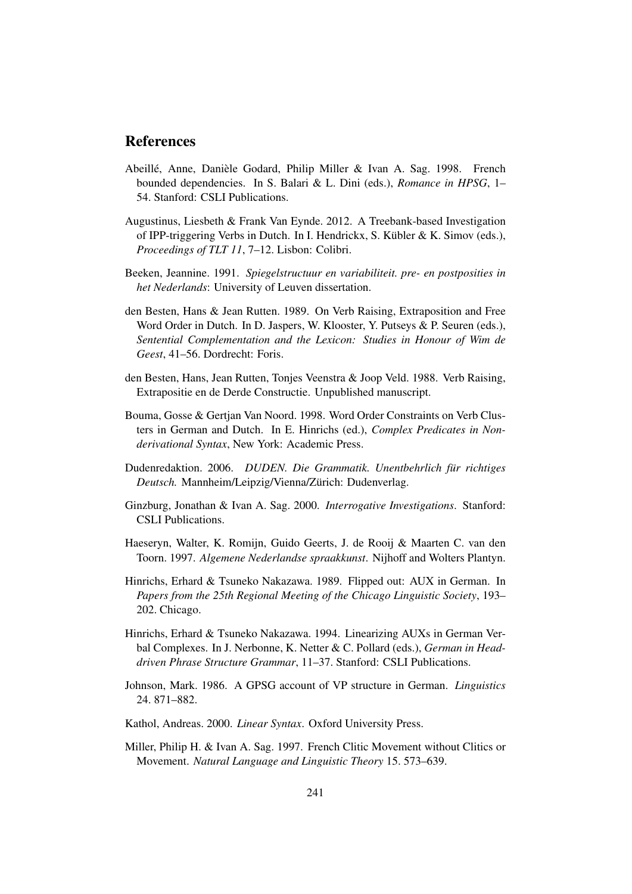#### References

- Abeillé, Anne, Danièle Godard, Philip Miller & Ivan A. Sag. 1998. French bounded dependencies. In S. Balari & L. Dini (eds.), *Romance in HPSG*, 1– 54. Stanford: CSLI Publications.
- Augustinus, Liesbeth & Frank Van Eynde. 2012. A Treebank-based Investigation of IPP-triggering Verbs in Dutch. In I. Hendrickx, S. Kübler & K. Simov (eds.), *Proceedings of TLT 11*, 7–12. Lisbon: Colibri.
- Beeken, Jeannine. 1991. *Spiegelstructuur en variabiliteit. pre- en postposities in het Nederlands*: University of Leuven dissertation.
- den Besten, Hans & Jean Rutten. 1989. On Verb Raising, Extraposition and Free Word Order in Dutch. In D. Jaspers, W. Klooster, Y. Putseys & P. Seuren (eds.), *Sentential Complementation and the Lexicon: Studies in Honour of Wim de Geest*, 41–56. Dordrecht: Foris.
- den Besten, Hans, Jean Rutten, Tonjes Veenstra & Joop Veld. 1988. Verb Raising, Extrapositie en de Derde Constructie. Unpublished manuscript.
- Bouma, Gosse & Gertjan Van Noord. 1998. Word Order Constraints on Verb Clusters in German and Dutch. In E. Hinrichs (ed.), *Complex Predicates in Nonderivational Syntax*, New York: Academic Press.
- Dudenredaktion. 2006. *DUDEN. Die Grammatik. Unentbehrlich fur richtiges ¨ Deutsch.* Mannheim/Leipzig/Vienna/Zurich: Dudenverlag. ¨
- Ginzburg, Jonathan & Ivan A. Sag. 2000. *Interrogative Investigations*. Stanford: CSLI Publications.
- Haeseryn, Walter, K. Romijn, Guido Geerts, J. de Rooij & Maarten C. van den Toorn. 1997. *Algemene Nederlandse spraakkunst*. Nijhoff and Wolters Plantyn.
- Hinrichs, Erhard & Tsuneko Nakazawa. 1989. Flipped out: AUX in German. In *Papers from the 25th Regional Meeting of the Chicago Linguistic Society*, 193– 202. Chicago.
- Hinrichs, Erhard & Tsuneko Nakazawa. 1994. Linearizing AUXs in German Verbal Complexes. In J. Nerbonne, K. Netter & C. Pollard (eds.), *German in Headdriven Phrase Structure Grammar*, 11–37. Stanford: CSLI Publications.
- Johnson, Mark. 1986. A GPSG account of VP structure in German. *Linguistics* 24. 871–882.
- Kathol, Andreas. 2000. *Linear Syntax*. Oxford University Press.
- Miller, Philip H. & Ivan A. Sag. 1997. French Clitic Movement without Clitics or Movement. *Natural Language and Linguistic Theory* 15. 573–639.